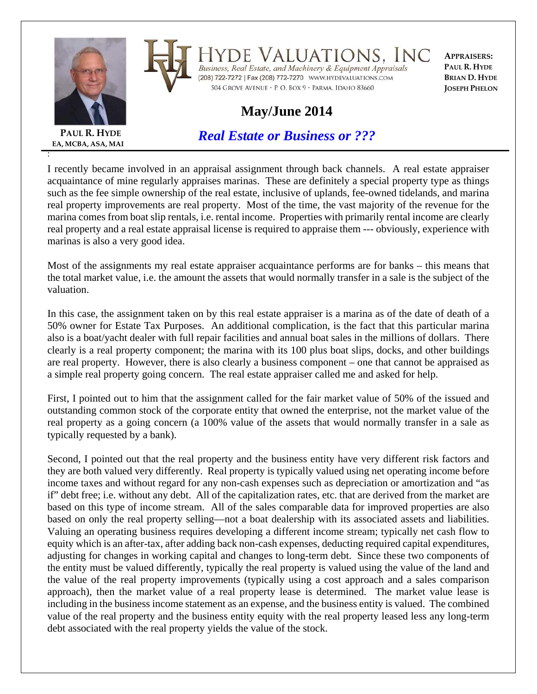

**EA, MCBA, ASA, MAI**

:

**PAUL R. HYDE**

Valuations, Inc DE Business, Real Estate, and Machinery & Equipment Appraisals

504 GROVE AVENUE · P. O. BOX 9 · PARMA, IDAHO 83660

**APPRAISERS: PAUL R. HYDE BRIAN D. HYDE JOSEPH PHELON**

## **May/June 2014**

*Real Estate or Business or ???*

I recently became involved in an appraisal assignment through back channels. A real estate appraiser acquaintance of mine regularly appraises marinas. These are definitely a special property type as things such as the fee simple ownership of the real estate, inclusive of uplands, fee-owned tidelands, and marina real property improvements are real property. Most of the time, the vast majority of the revenue for the marina comes from boat slip rentals, i.e. rental income. Properties with primarily rental income are clearly real property and a real estate appraisal license is required to appraise them --- obviously, experience with marinas is also a very good idea.

Most of the assignments my real estate appraiser acquaintance performs are for banks – this means that the total market value, i.e. the amount the assets that would normally transfer in a sale is the subject of the valuation.

In this case, the assignment taken on by this real estate appraiser is a marina as of the date of death of a 50% owner for Estate Tax Purposes. An additional complication, is the fact that this particular marina also is a boat/yacht dealer with full repair facilities and annual boat sales in the millions of dollars. There clearly is a real property component; the marina with its 100 plus boat slips, docks, and other buildings are real property. However, there is also clearly a business component – one that cannot be appraised as a simple real property going concern. The real estate appraiser called me and asked for help.

First, I pointed out to him that the assignment called for the fair market value of 50% of the issued and outstanding common stock of the corporate entity that owned the enterprise, not the market value of the real property as a going concern (a 100% value of the assets that would normally transfer in a sale as typically requested by a bank).

Second, I pointed out that the real property and the business entity have very different risk factors and they are both valued very differently. Real property is typically valued using net operating income before income taxes and without regard for any non-cash expenses such as depreciation or amortization and "as if" debt free; i.e. without any debt. All of the capitalization rates, etc. that are derived from the market are based on this type of income stream. All of the sales comparable data for improved properties are also based on only the real property selling—not a boat dealership with its associated assets and liabilities. Valuing an operating business requires developing a different income stream; typically net cash flow to equity which is an after-tax, after adding back non-cash expenses, deducting required capital expenditures, adjusting for changes in working capital and changes to long-term debt. Since these two components of the entity must be valued differently, typically the real property is valued using the value of the land and the value of the real property improvements (typically using a cost approach and a sales comparison approach), then the market value of a real property lease is determined. The market value lease is including in the business income statement as an expense, and the business entity is valued. The combined value of the real property and the business entity equity with the real property leased less any long-term debt associated with the real property yields the value of the stock.